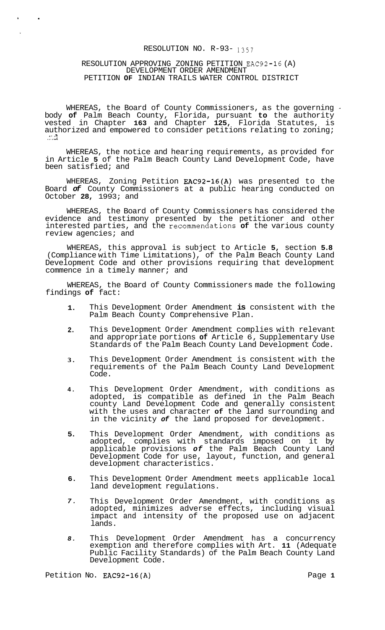#### RESOLUTION NO. R-93- 1357

### RESOLUTION APPROVING ZONING PETITION EAC92-16 (A) DEVELOPMENT ORDER AMENDMENT PETITION **OF** INDIAN TRAILS WATER CONTROL DISTRICT

 $\bullet$ 

WHEREAS, the Board of County Commissioners, as the governing body **of** Palm Beach County, Florida, pursuant **to** the authority vested in Chapter **163** and Chapter **125,** Florida Statutes, is authorized and empowered to consider petitions relating to zoning;<br>...; 2

WHEREAS, the notice and hearing requirements, as provided for in Article **5** of the Palm Beach County Land Development Code, have been satisfied; and

WHEREAS, Zoning Petition EAC92-16(A) was presented to the Board *of* County Commissioners at a public hearing conducted on October **28,** 1993; and

WHEREAS, the Board of County Commissioners has considered the evidence and testimony presented by the petitioner and other interested parties, and the recommendations **of** the various county review agencies; and

WHEREAS, this approval is subject to Article **5,** section **5.8**  (Compliance with Time Limitations), of the Palm Beach County Land Development Code and other provisions requiring that development commence in a timely manner; and

WHEREAS, the Board of County Commissioners made the following findings **of** fact:

- **1.**  This Development Order Amendment **is** consistent with the Palm Beach County Comprehensive Plan.
- **2.**  This Development Order Amendment complies with relevant and appropriate portions **of** Article 6, Supplementary Use Standards of the Palm Beach County Land Development Code.
- **3.**  This Development Order Amendment is consistent with the requirements of the Palm Beach County Land Development Code.
- **4.**  This Development Order Amendment, with conditions as adopted, is compatible as defined in the Palm Beach county Land Development Code and generally consistent with the uses and character **of** the land surrounding and in the vicinity *of* the land proposed for development.
- **5.**  This Development Order Amendment, with conditions as adopted, complies with standards imposed on it by applicable provisions *of* the Palm Beach County Land Development Code for use, layout, function, and general development characteristics.
- **6.**  This Development Order Amendment meets applicable local land development regulations.
- *7.*  This Development Order Amendment, with conditions as adopted, minimizes adverse effects, including visual impact and intensity of the proposed use on adjacent lands.
- *8.*  This Development Order Amendment has a concurrency exemption and therefore complies with Art. **11** (Adequate Public Facility Standards) of the Palm Beach County Land Development Code.

Petition No. EAC92-16(A) Petition No. 2012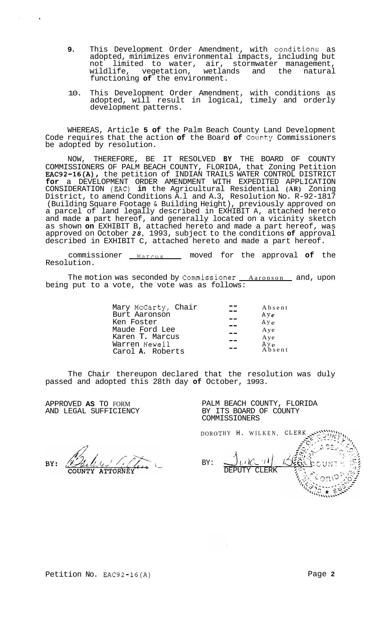- **9.** This Development Order Amendment, with conditions as adopted, minimizes environmental impacts, including but<br>not limited to water, air, stormwater management, limited to water, air, stormwater management,<br>ife, vegetation, wetlands and the natural wildlife, vegetation, wetlands and the natural functioning **of** the environment.
- 10. This Development Order Amendment, with conditions as adopted, will result in logical, timely and orderly development patterns.

WHEREAS, Article **5 of** the Palm Beach County Land Development Code requires that the action of the Board of County Commissioners be adopted by resolution.

NOW, THEREFORE, BE IT RESOLVED **BY** THE BOARD OF COUNTY COMMISSIONERS OF PALM BEACH COUNTY, FLORIDA, that Zoning Petition F.AC92-16(A), the petition of INDIAN TRAILS WATER CONTROL DISTRICT **for** a DEVELOPMENT ORDER AMENDMENT WITH EXPEDITED APPLICATION CONSIDERATION (EAC) **in** the Agricultural Residential **(AR)** Zoning District, to amend Conditions A.l and A.3, Resolution No. R-92-1817 (Building Square Footage & Building Height), previously approved on a parcel of land legally described in EXHIBIT A, attached hereto and made **a** part hereof, and generally located on a vicinity sketch as shown **on** EXHIBIT B, attached hereto and made a part hereof, was approved on October *28,* 1993, subject to the conditions **of** approval described in EXHIBIT C, attached hereto and made a part hereof.

commissioner **Marcus** moved for the approval **of** the Resolution.

The motion was seconded by Commissioner *\_Aaronson* and, upon being put to a vote, the vote was as follows:

The Chair thereupon declared that the resolution was duly passed and adopted this 28th day **of** October, 1993.

APPROVED **AS** TO FORM AND LEGAL SUFFICIENCY PALM BEACH COUNTY, FLORIDA BY ITS BOARD OF COUNTY COMMISSIONERS

DORO HY H. WILKEN, BY: J **1** 1. DEPUTY CLERK

BY: **ATTORNEY** 

Petition No. EAC92-16(A) **Page 2 Page 2**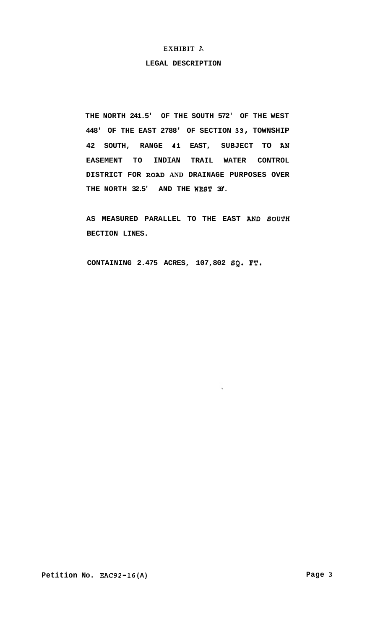## **EXHIBIT i?,**

#### **LEGAL DESCRIPTION**

**THE NORTH 241.5' OF THE SOUTH 572' OF THE WEST 448' OF THE EAST 2788' OF SECTION 33, TOWNSHIP 42 SOUTH, RANGE 41 EAST, SUBJECT TO** *AN*  **EASEMENT TO INDIAN TRAIL WATER CONTROL DISTRICT FOR ROAD AND DRAINAGE PURPOSES OVER THE NORTH 32.5' AND THE WEST 30'.** 

**AS MEASURED PARALLEL TO THE EAST** *AND* **BOUTH BECTION LINES.** 

**CONTAINING 2.475 ACRES, 107,802 SQ. FT.**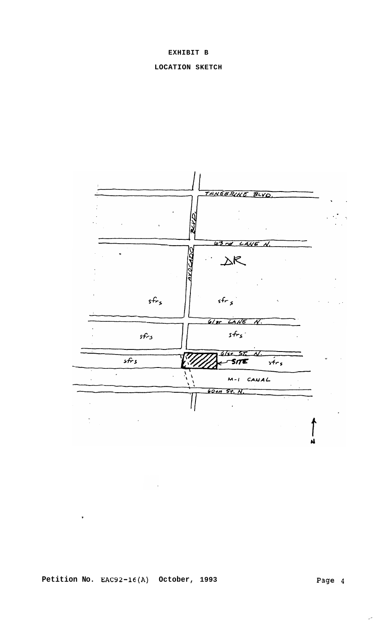## **EXHIBIT B**

# **LOCATION SKETCH**



**Petition No. EAC92-16(A) October, 1993** 

,

المرد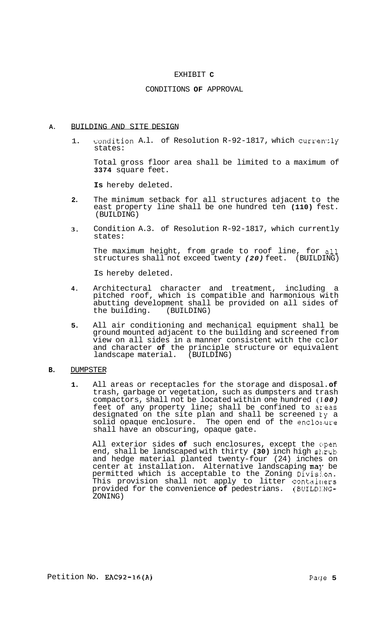#### EXHIBIT **C**

### CONDITIONS **OF** APPROVAL

### **A.** BUILDING AND SITE DESIGN

1. condition A.l. of Resolution R-92-1817, which currently states:

Total gross floor area shall be limited to a maximum of **3374** square feet.

**Is** hereby deleted.

- **2.**  The minimum setback for all structures adjacent to the east property line shall be one hundred ten **(110)** fest. (BUILDING)
- **3.**  Condition A.3. of Resolution R-92-1817, which currently states:

The maximum height, from grade to roof line, for all structures shall not exceed twenty *(20)* feet. (BUILDING)

Is hereby deleted.

- **4.**  Architectural character and treatment, including a pitched roof, which is compatible and harmonious with abutting development shall be provided on all sides of<br>the building. (BUILDING) the building.
- **5.**  All air conditioning and mechanical equipment shall be ground mounted adjacent to the building and screened from view on all sides in a manner consistent with the cclor and character **of** the principle structure or equivalent landscape material. (BUILDING)

#### **B.** DUMPSTER

**1.** All areas or receptacles for the storage and disposal. **of**  trash, garbage or vegetation, such as dumpsters and trash compactors, shall not be located within one hundred (I *00)*  feet of any property line; shall be confined to ar'eas designated on the site plan and shall be screened ky a solid opaque enclosure. The open end of the enclos.ure shall have an obscuring, opaque gate.

All exterior sides of such enclosures, except the open end, shall be landscaped with thirty (30) inch high shrub and hedge material planted twenty-four (24) inches on center at installation. Alternative landscaping may be permitted which is acceptable to the Zoning Divisj.on. This provision shall not apply to litter contairiers provided for the convenience **of** pedestrians. (BUILD!:NG-ZONING)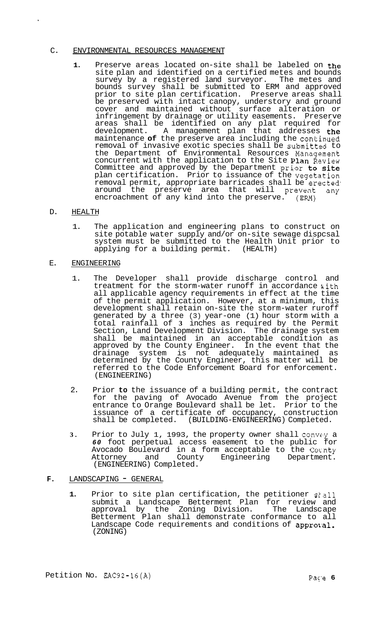## C. ENVIRONMENTAL RESOURCES MANAGEMENT

**1.** Preserve areas located on-site shall be labeled on the site plan and identified on a certified metes and bounds survey by a registered land surveyor. The metes and bounds survey shall be submitted to ERM and approved prior to site plan certification. Preserve areas shall be preserved with intact canopy, understory and ground cover and maintained without surface alteration or infringement by drainage or utility easements. Preserve areas shall be identified on any plat required for development. A management plan that addresses the maintenance **of** the preserve area including the continued removal of invasive exotic species shall be submitted to the Department of Environmental Resources Management concurrent with the application to the Site Plan Review Committee and approved by the Department prior to site plan certification. Prior to issuance of the vegetation removal permit, appropriate barricades shall be erected around the preserve area that will prevent any encroachment of any kind into the preserve. (ERM)

## D. HEALTH

1. The application and engineering plans to construct on site potable water supply and/or on-site sewage dispcsal system must be submitted to the Health Unit prior to applying for a building permit. (HEALTH)

## E. ENGINEERING

- 1. The Developer shall provide discharge control and treatment for the storm-water runoff in accordance with all applicable agency requirements in effect at the time of the permit application. However, at a minimum, this development shall retain on-site the storm-water ruroff generated by a three (3) year-one (1) hour storm with a total rainfall of **3** inches as required by the Permit Section, Land Development Division. The drainage system shall be maintained in an acceptable condition as approved by the County Engineer. In the event that the drainage system is not adequately maintained as determined by the County Engineer, this matter will be referred to the Code Enforcement Board for enforcement. (ENGINEERING)
- 2. Prior **to** the issuance of a building permit, the contract for the paving of Avocado Avenue from the project entrance to Orange Boulevard shall be let. Prior to the issuance of a certificate of occupancy, construction shall be completed. (BUILDING-ENGINEERING) Completed.
- **3.** Prior to July 1, 1993, the property owner shall convey a *60* foot perpetual access easement to the public for Avocado Boulevard in a form acceptable to the Cocnty Attorney and County Engineering Department. (ENGINEERING) Completed.

## F. LANDSCAPING - GENERAL

**1.** Prior to site plan certification, the petitioner skall submit a Landscape Betterment Plan for review and approval by the Zoning Division. The Landsc ape Betterment Plan shall demonstrate conformance to all Landscape Code requirements and conditions of approval. (ZONING)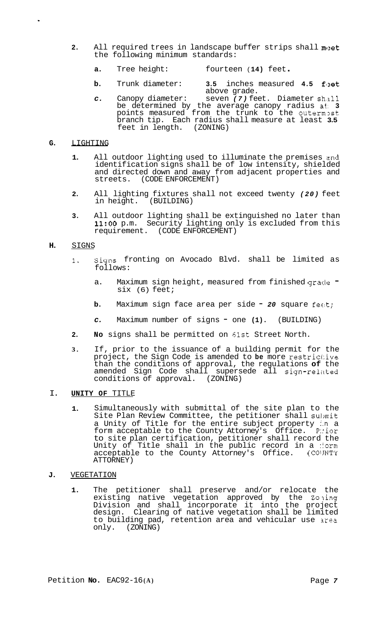- **2.** All required trees in landscape buffer strips shall muet the following minimum standards:
	- **a.** Tree height: fourteen ( **14)** feet .
	- **b.** Trunk diameter: **3.5** inches measured **4.5** fleet above grade.
	- *c.* Canopy diameter: seven *(7)* feet. Diameter sh.311 be determined by the average canopy radius at; **3**  points measured from the trunk to the outerm3st branch tip. Each radius shall measure at least **3.5**  feet in length. (ZONING)

## **G.** LIGHTING

- **1.** All outdoor lighting used to illuminate the premises and identification signs shall be of low intensity, shielded and directed down and away from adjacent properties and streets. (CODE ENFORCEMENT)
- **2.** All lighting fixtures shall not exceed twenty *(20)* feet in height.
- **3.** All outdoor lighting shall be extinguished no later than **11:OO** p.m. Security lighting only is excluded from this requirement. (CODE ENFORCEMENT)

## **H.** SIGNS

- **1.** signs fronting on Avocado Blvd. shall be limited as follows:
	- a. Maximum sign height, measured from finished grade  $\overline{\phantom{a}}$ six (6) feet;
	- **b.** Maximum sign face area per side  **20** square feat;
	- *c.* Maximum number of signs one **(1).** (BUILDING)
- **2. No** signs shall be permitted on 61st Street North.
- **3.** If, prior to the issuance of a building permit for the project, the Sign Code is amended to **be** more restric1:ive than the conditions of approval, the regulations **of** the amended Sign Code shall supersede all sign-related conditions of approval. (ZONING)

# I. **UNITY OF** TITLE

**1.** Simultaneously with submittal of the site plan to the Site Plan Review Committee, the petitioner shall submit a Unity of Title for the entire subject property i.n a form acceptable to the County Attorney's Office. P::ior to site plan certification, petitioner shall record the Unity of Title shall in the public record in a :form acceptable to the County Attorney's Office. (COIJNTY ATTORNEY)

#### **J.** VEGETATION

**1.** The petitioner shall preserve and/or relocate the existing native vegetation approved by the Zoning Division and shall incorporate it into the project design. Clearing of native vegetation shall be limited to building pad, retention area and vehicular use area only. (ZONING)